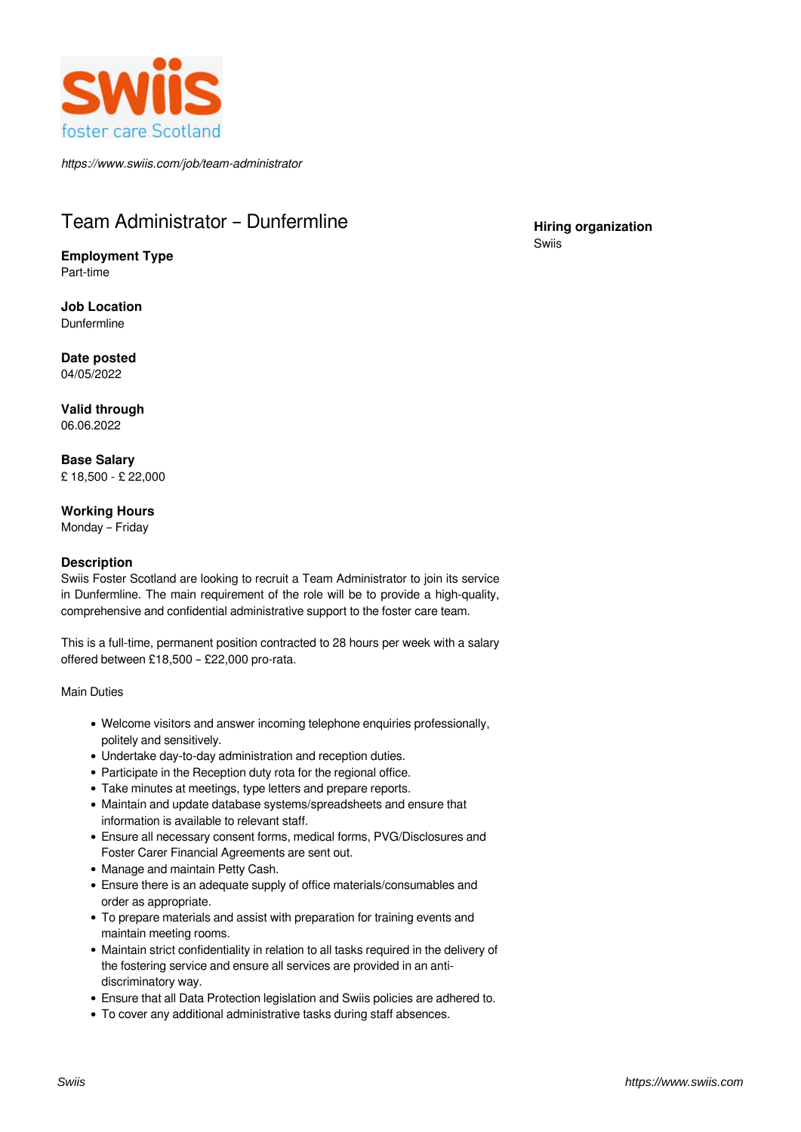

*https://www.swiis.com/job/team-administrator*

# Team Administrator – Dunfermline

**Employment Type** Part-time

**Job Location** Dunfermline

**Date posted** 04/05/2022

**Valid through** 06.06.2022

**Base Salary** £ 18,500 - £ 22,000

# **Working Hours**

Monday – Friday

# **Description**

Swiis Foster Scotland are looking to recruit a Team Administrator to join its service in Dunfermline. The main requirement of the role will be to provide a high-quality, comprehensive and confidential administrative support to the foster care team.

This is a full-time, permanent position contracted to 28 hours per week with a salary offered between £18,500 – £22,000 pro-rata.

Main Duties

- Welcome visitors and answer incoming telephone enquiries professionally, politely and sensitively.
- Undertake day-to-day administration and reception duties.
- Participate in the Reception duty rota for the regional office.
- Take minutes at meetings, type letters and prepare reports.
- Maintain and update database systems/spreadsheets and ensure that information is available to relevant staff.
- Ensure all necessary consent forms, medical forms, PVG/Disclosures and Foster Carer Financial Agreements are sent out.
- Manage and maintain Petty Cash.
- Ensure there is an adequate supply of office materials/consumables and order as appropriate.
- To prepare materials and assist with preparation for training events and maintain meeting rooms.
- Maintain strict confidentiality in relation to all tasks required in the delivery of the fostering service and ensure all services are provided in an antidiscriminatory way.
- Ensure that all Data Protection legislation and Swiis policies are adhered to.
- To cover any additional administrative tasks during staff absences.

## **Hiring organization** Swiis